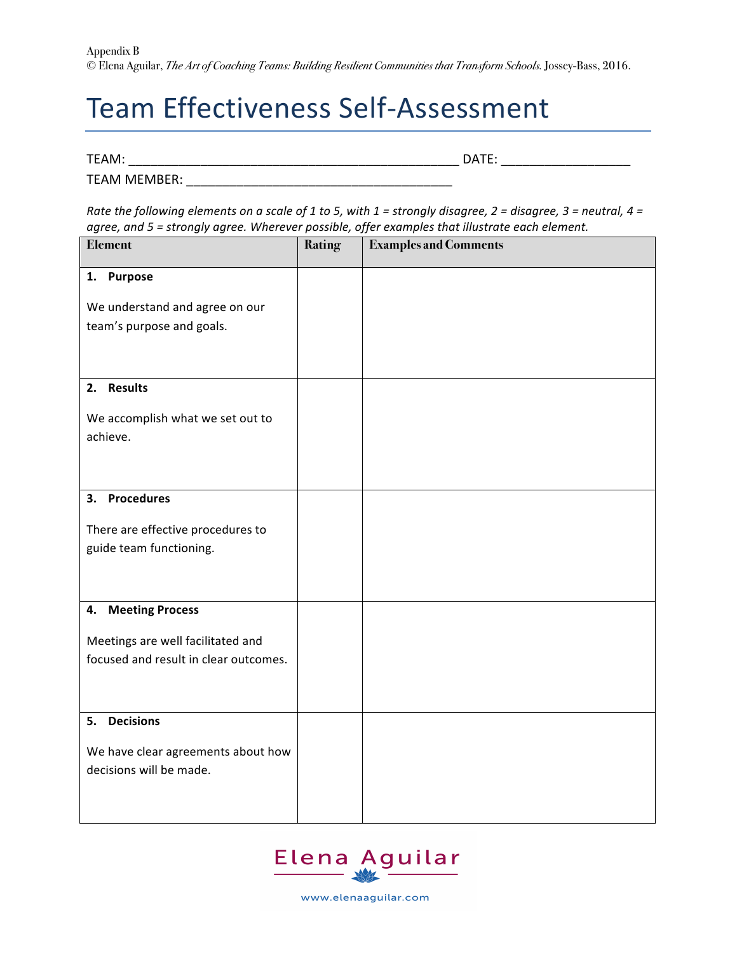## Team Effectiveness Self-Assessment

TEAM: \_\_\_\_\_\_\_\_\_\_\_\_\_\_\_\_\_\_\_\_\_\_\_\_\_\_\_\_\_\_\_\_\_\_\_\_\_\_\_\_\_\_\_\_\_\_ DATE: \_\_\_\_\_\_\_\_\_\_\_\_\_\_\_\_\_\_

TEAM MEMBER: **WEBBER:** 

*Rate the following elements on a scale of 1 to 5, with 1 = strongly disagree, 2 = disagree, 3 = neutral, 4 =* agree, and 5 = strongly agree. Wherever possible, offer examples that illustrate each element.

| Element                                                                    | <b>Rating</b> | <b>Examples and Comments</b> |
|----------------------------------------------------------------------------|---------------|------------------------------|
| 1. Purpose                                                                 |               |                              |
| We understand and agree on our<br>team's purpose and goals.                |               |                              |
| 2. Results                                                                 |               |                              |
| We accomplish what we set out to<br>achieve.                               |               |                              |
| 3. Procedures                                                              |               |                              |
| There are effective procedures to<br>guide team functioning.               |               |                              |
| 4. Meeting Process                                                         |               |                              |
| Meetings are well facilitated and<br>focused and result in clear outcomes. |               |                              |
| <b>Decisions</b><br>5.                                                     |               |                              |
| We have clear agreements about how<br>decisions will be made.              |               |                              |



www.elenaaguilar.com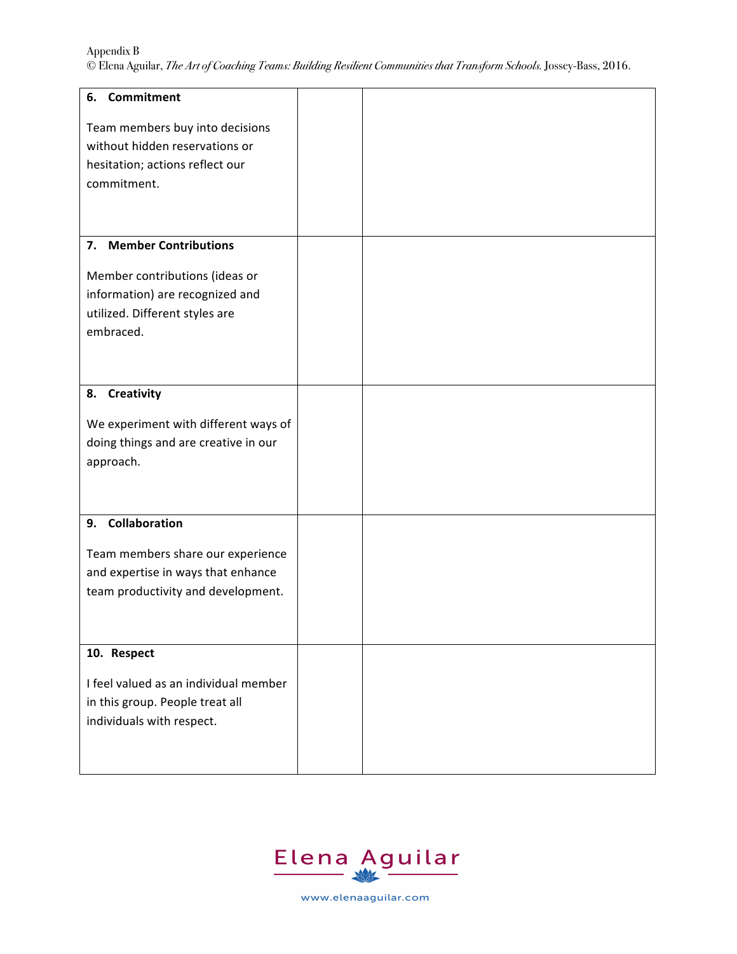Appendix B © Elena Aguilar, *The Art of Coaching Teams: Building Resilient Communities that Transform Schools.* Jossey-Bass, 2016.

| 6. Commitment                                                                                                       |  |  |
|---------------------------------------------------------------------------------------------------------------------|--|--|
| Team members buy into decisions<br>without hidden reservations or<br>hesitation; actions reflect our<br>commitment. |  |  |
| 7. Member Contributions                                                                                             |  |  |
| Member contributions (ideas or<br>information) are recognized and<br>utilized. Different styles are<br>embraced.    |  |  |
| <b>Creativity</b><br>8.                                                                                             |  |  |
| We experiment with different ways of<br>doing things and are creative in our<br>approach.                           |  |  |
| 9. Collaboration                                                                                                    |  |  |
| Team members share our experience<br>and expertise in ways that enhance<br>team productivity and development.       |  |  |
| 10. Respect                                                                                                         |  |  |
| I feel valued as an individual member<br>in this group. People treat all<br>individuals with respect.               |  |  |



www.elenaaguilar.com